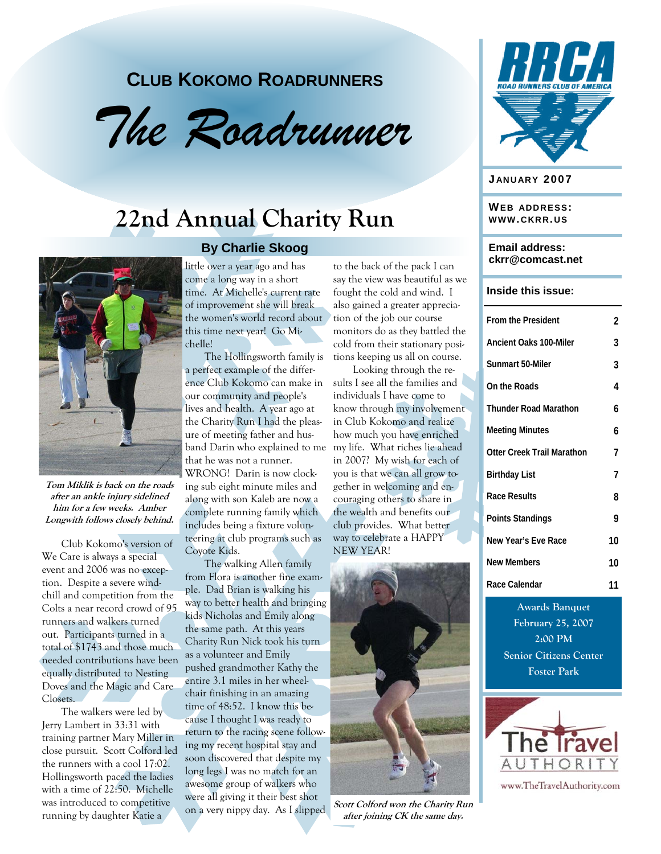### **CLUB KOKOMO ROADRUNNERS**



# **22nd Annual Charity Run**



**Tom Miklik is back on the roads after an ankle injury sidelined him for a few weeks. Amber Longwith follows closely behind.**

Club Kokomo's version of We Care is always a special event and 2006 was no exception. Despite a severe windchill and competition from the Colts a near record crowd of 95 runners and walkers turned out. Participants turned in a total of \$1743 and those much needed contributions have been equally distributed to Nesting Doves and the Magic and Care Closets.

The walkers were led by Jerry Lambert in 33:31 with training partner Mary Miller in close pursuit. Scott Colford led the runners with a cool 17:02. Hollingsworth paced the ladies with a time of 22:50. Michelle was introduced to competitive running by daughter Katie a

#### **By Charlie Skoog**

little over a year ago and has come a long way in a short time. At Michelle's current rate of improvement she will break the women's world record about this time next year! Go Michelle!

The Hollingsworth family is a perfect example of the difference Club Kokomo can make in our community and people's lives and health. A year ago at the Charity Run I had the pleasure of meeting father and husband Darin who explained to me that he was not a runner. WRONG! Darin is now clocking sub eight minute miles and along with son Kaleb are now a complete running family which includes being a fixture volunteering at club programs such as Coyote Kids.

The walking Allen family from Flora is another fine example. Dad Brian is walking his way to better health and bringing kids Nicholas and Emily along the same path. At this years Charity Run Nick took his turn as a volunteer and Emily pushed grandmother Kathy the entire 3.1 miles in her wheelchair finishing in an amazing time of 48:52. I know this because I thought I was ready to return to the racing scene following my recent hospital stay and soon discovered that despite my long legs I was no match for an awesome group of walkers who were all giving it their best shot on a very nippy day. As I slipped to the back of the pack I can say the view was beautiful as we fought the cold and wind. I also gained a greater appreciation of the job our course monitors do as they battled the cold from their stationary positions keeping us all on course.

Looking through the results I see all the families and individuals I have come to know through my involvement in Club Kokomo and realize how much you have enriched my life. What riches lie ahead in 2007? My wish for each of you is that we can all grow together in welcoming and encouraging others to share in the wealth and benefits our club provides. What better way to celebrate a HAPPY NEW YEAR!



**Scott Colford won the Charity Run after joining CK the same day.**



#### **J ANUARY 2007**

**WEB ADDRESS: WWW.CKRR.US**

#### **Email address: ckrr@comcast.net**

#### **Inside this issue:**

| <b>From the President</b>     | 2  |
|-------------------------------|----|
| <b>Ancient Oaks 100-Miler</b> | 3  |
| Sunmart 50-Miler              | 3  |
| On the Roads                  | 4  |
| <b>Thunder Road Marathon</b>  | 6  |
| <b>Meeting Minutes</b>        | 6  |
| Otter Creek Trail Marathon    | 7  |
| <b>Birthday List</b>          | 7  |
| Race Results                  | 8  |
| <b>Points Standings</b>       | Q  |
| New Year's Eve Race           | 10 |
| <b>New Members</b>            | 10 |
| Race Calendar                 | 11 |

**Awards Banquet February 25, 2007 2:00 PM Senior Citizens Center Foster Park** 



www.TheTravelAuthority.com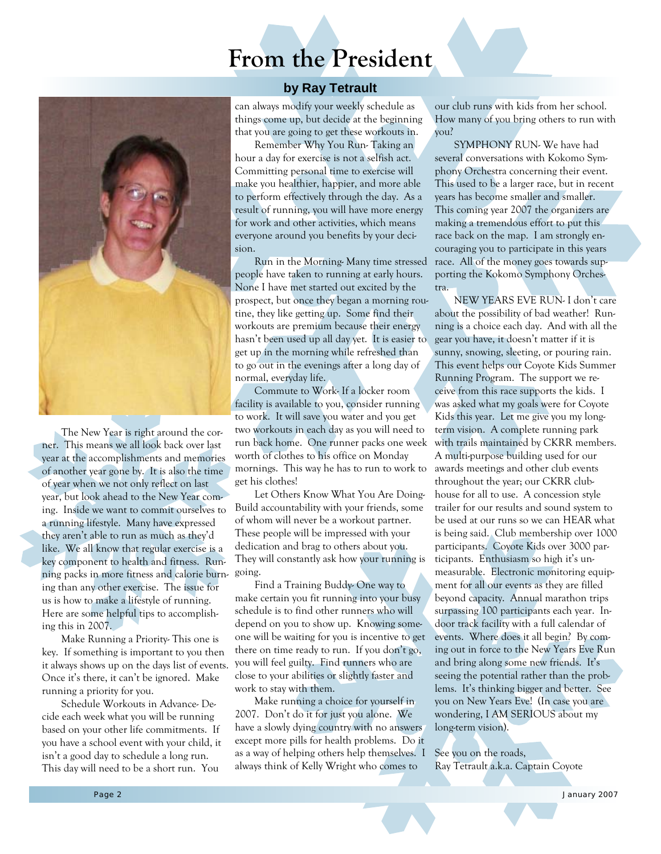### **From the President**



The New Year is right around the corner. This means we all look back over last year at the accomplishments and memories of another year gone by. It is also the time of year when we not only reflect on last year, but look ahead to the New Year coming. Inside we want to commit ourselves to a running lifestyle. Many have expressed they aren't able to run as much as they'd like. We all know that regular exercise is a key component to health and fitness. Running packs in more fitness and calorie burning than any other exercise. The issue for us is how to make a lifestyle of running. Here are some helpful tips to accomplishing this in 2007.

Make Running a Priority- This one is key. If something is important to you then it always shows up on the days list of events. Once it's there, it can't be ignored. Make running a priority for you.

Schedule Workouts in Advance- Decide each week what you will be running based on your other life commitments. If you have a school event with your child, it isn't a good day to schedule a long run. This day will need to be a short run. You

#### **by Ray Tetrault**

can always modify your weekly schedule as things come up, but decide at the beginning that you are going to get these workouts in.

Remember Why You Run- Taking an hour a day for exercise is not a selfish act. Committing personal time to exercise will make you healthier, happier, and more able to perform effectively through the day. As a result of running, you will have more energy for work and other activities, which means everyone around you benefits by your decision.

Run in the Morning- Many time stressed people have taken to running at early hours. None I have met started out excited by the prospect, but once they began a morning routine, they like getting up. Some find their workouts are premium because their energy hasn't been used up all day yet. It is easier to get up in the morning while refreshed than to go out in the evenings after a long day of normal, everyday life.

Commute to Work- If a locker room facility is available to you, consider running to work. It will save you water and you get two workouts in each day as you will need to run back home. One runner packs one week worth of clothes to his office on Monday mornings. This way he has to run to work to get his clothes!

Let Others Know What You Are Doing-Build accountability with your friends, some of whom will never be a workout partner. These people will be impressed with your dedication and brag to others about you. They will constantly ask how your running is going.

Find a Training Buddy- One way to make certain you fit running into your busy schedule is to find other runners who will depend on you to show up. Knowing someone will be waiting for you is incentive to get there on time ready to run. If you don't go, you will feel guilty. Find runners who are close to your abilities or slightly faster and work to stay with them.

Make running a choice for yourself in 2007. Don't do it for just you alone. We have a slowly dying country with no answers except more pills for health problems. Do it as a way of helping others help themselves. I always think of Kelly Wright who comes to

our club runs with kids from her school. How many of you bring others to run with you?

SYMPHONY RUN- We have had several conversations with Kokomo Symphony Orchestra concerning their event. This used to be a larger race, but in recent years has become smaller and smaller. This coming year 2007 the organizers are making a tremendous effort to put this race back on the map. I am strongly encouraging you to participate in this years race. All of the money goes towards supporting the Kokomo Symphony Orchestra.

NEW YEARS EVE RUN- I don't care about the possibility of bad weather! Running is a choice each day. And with all the gear you have, it doesn't matter if it is sunny, snowing, sleeting, or pouring rain. This event helps our Coyote Kids Summer Running Program. The support we receive from this race supports the kids. I was asked what my goals were for Coyote Kids this year. Let me give you my longterm vision. A complete running park with trails maintained by CKRR members. A multi-purpose building used for our awards meetings and other club events throughout the year; our CKRR clubhouse for all to use. A concession style trailer for our results and sound system to be used at our runs so we can HEAR what is being said. Club membership over 1000 participants. Coyote Kids over 3000 participants. Enthusiasm so high it's unmeasurable. Electronic monitoring equipment for all our events as they are filled beyond capacity. Annual marathon trips surpassing 100 participants each year. Indoor track facility with a full calendar of events. Where does it all begin? By coming out in force to the New Years Eve Run and bring along some new friends. It's seeing the potential rather than the problems. It's thinking bigger and better. See you on New Years Eve! (In case you are wondering, I AM SERIOUS about my long-term vision).

See you on the roads, Ray Tetrault a.k.a. Captain Coyote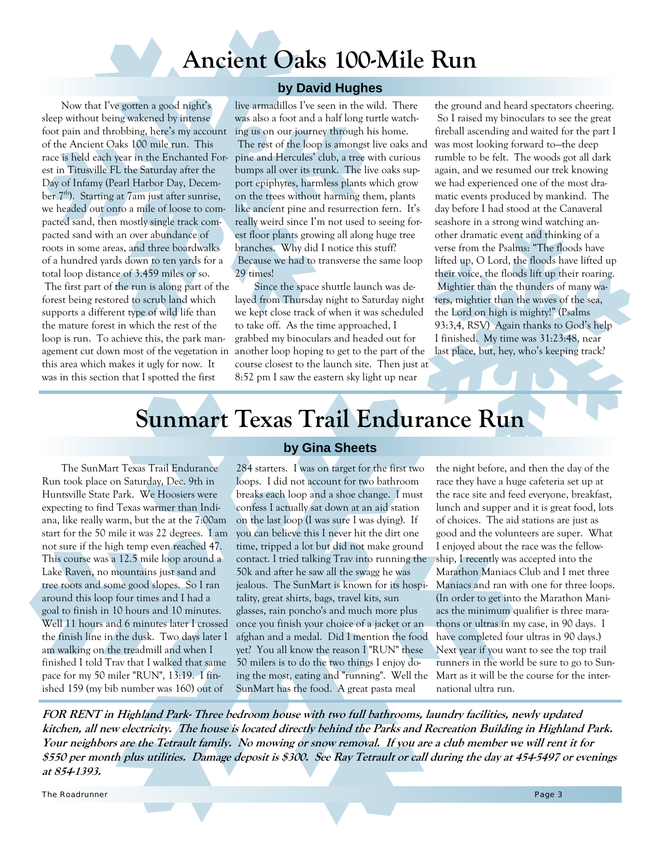# **Ancient Oaks 100-Mile Run**

Now that I've gotten a good night's sleep without being wakened by intense foot pain and throbbing, here's my account of the Ancient Oaks 100 mile run. This race is held each year in the Enchanted Forest in Titusville FL the Saturday after the Day of Infamy (Pearl Harbor Day, December  $7<sup>th</sup>$ ). Starting at  $7<sub>am</sub>$  just after sunrise, we headed out onto a mile of loose to compacted sand, then mostly single track compacted sand with an over abundance of roots in some areas, and three boardwalks of a hundred yards down to ten yards for a total loop distance of 3.459 miles or so. The first part of the run is along part of the forest being restored to scrub land which supports a different type of wild life than the mature forest in which the rest of the loop is run. To achieve this, the park management cut down most of the vegetation in this area which makes it ugly for now. It was in this section that I spotted the first

#### **by David Hughes**

live armadillos I've seen in the wild. There was also a foot and a half long turtle watching us on our journey through his home. The rest of the loop is amongst live oaks and pine and Hercules' club, a tree with curious

bumps all over its trunk. The live oaks support epiphytes, harmless plants which grow on the trees without harming them, plants like ancient pine and resurrection fern. It's really weird since I'm not used to seeing forest floor plants growing all along huge tree branches. Why did I notice this stuff? Because we had to transverse the same loop 29 times!

Since the space shuttle launch was delayed from Thursday night to Saturday night we kept close track of when it was scheduled to take off. As the time approached, I grabbed my binoculars and headed out for another loop hoping to get to the part of the course closest to the launch site. Then just at 8:52 pm I saw the eastern sky light up near

the ground and heard spectators cheering. So I raised my binoculars to see the great fireball ascending and waited for the part I was most looking forward to—the deep rumble to be felt. The woods got all dark again, and we resumed our trek knowing we had experienced one of the most dramatic events produced by mankind. The day before I had stood at the Canaveral seashore in a strong wind watching another dramatic event and thinking of a verse from the Psalms: "The floods have lifted up, O Lord, the floods have lifted up their voice, the floods lift up their roaring. Mightier than the thunders of many waters, mightier than the waves of the sea, the Lord on high is mighty!" (Psalms 93:3,4, RSV) Again thanks to God's help I finished. My time was 31:23:48, near last place, but, hey, who's keeping track?

# **Sunmart Texas Trail Endurance Run**

The SunMart Texas Trail Endurance Run took place on Saturday, Dec. 9th in Huntsville State Park. We Hoosiers were expecting to find Texas warmer than Indiana, like really warm, but the at the 7:00am start for the 50 mile it was 22 degrees. I am not sure if the high temp even reached 47. This course was a 12.5 mile loop around a Lake Raven, no mountains just sand and tree roots and some good slopes. So I ran around this loop four times and I had a goal to finish in 10 hours and 10 minutes. Well 11 hours and 6 minutes later I crossed the finish line in the dusk. Two days later I am walking on the treadmill and when I finished I told Trav that I walked that same pace for my 50 miler "RUN", 13:19. I finished 159 (my bib number was 160) out of

#### **by Gina Sheets**

284 starters. I was on target for the first two loops. I did not account for two bathroom breaks each loop and a shoe change. I must confess I actually sat down at an aid station on the last loop (I was sure I was dying). If you can believe this I never hit the dirt one time, tripped a lot but did not make ground contact. I tried talking Trav into running the 50k and after he saw all the swagg he was jealous. The SunMart is known for its hospitality, great shirts, bags, travel kits, sun glasses, rain poncho's and much more plus once you finish your choice of a jacket or an afghan and a medal. Did I mention the food yet? You all know the reason I "RUN" these 50 milers is to do the two things I enjoy doing the most, eating and "running". Well the SunMart has the food. A great pasta meal

the night before, and then the day of the race they have a huge cafeteria set up at the race site and feed everyone, breakfast, lunch and supper and it is great food, lots of choices. The aid stations are just as good and the volunteers are super. What I enjoyed about the race was the fellowship, I recently was accepted into the Marathon Maniacs Club and I met three Maniacs and ran with one for three loops. (In order to get into the Marathon Maniacs the minimum qualifier is three marathons or ultras in my case, in 90 days. I have completed four ultras in 90 days.) Next year if you want to see the top trail runners in the world be sure to go to Sun-Mart as it will be the course for the international ultra run.

**FOR RENT in Highland Park- Three bedroom house with two full bathrooms, laundry facilities, newly updated kitchen, all new electricity. The house is located directly behind the Parks and Recreation Building in Highland Park. Your neighbors are the Tetrault family. No mowing or snow removal. If you are a club member we will rent it for \$550 per month plus utilities. Damage deposit is \$300. See Ray Tetrault or call during the day at 454-5497 or evenings at 854-1393.** 

The Roadrunner Page 3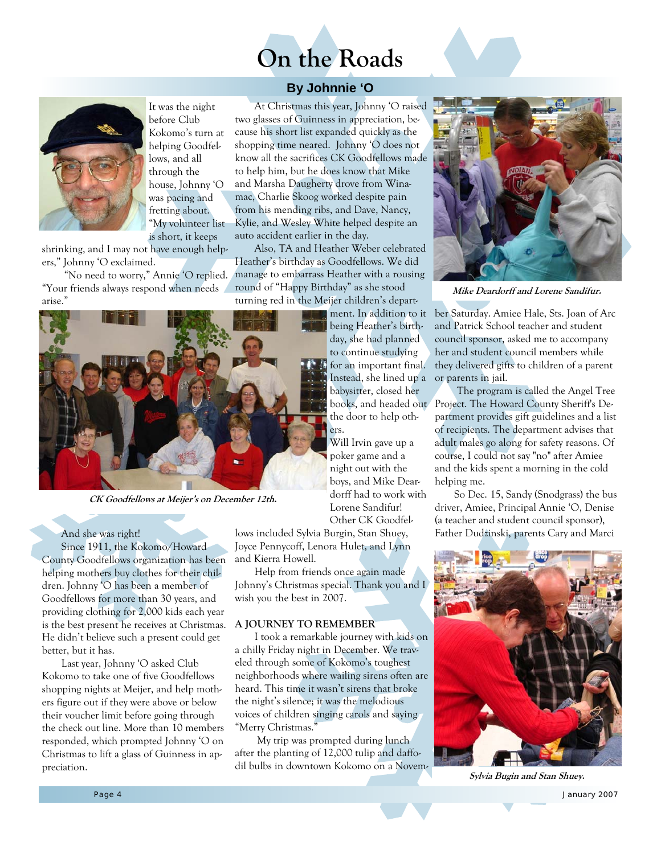



### **By Johnnie 'O**



It was the night before Club Kokomo's turn at helping Goodfellows, and all through the house, Johnny 'O was pacing and fretting about. "My volunteer list is short, it keeps

shrinking, and I may not have enough helpers," Johnny 'O exclaimed.

 "No need to worry," Annie 'O replied. "Your friends always respond when needs arise."



**CK Goodfellows at Meijer's on December 12th.** 

And she was right!

Since 1911, the Kokomo/Howard County Goodfellows organization has been helping mothers buy clothes for their children. Johnny 'O has been a member of Goodfellows for more than 30 years, and providing clothing for 2,000 kids each year is the best present he receives at Christmas. He didn't believe such a present could get better, but it has.

Last year, Johnny 'O asked Club Kokomo to take one of five Goodfellows shopping nights at Meijer, and help mothers figure out if they were above or below their voucher limit before going through the check out line. More than 10 members responded, which prompted Johnny 'O on Christmas to lift a glass of Guinness in appreciation.

At Christmas this year, Johnny 'O raised two glasses of Guinness in appreciation, because his short list expanded quickly as the shopping time neared. Johnny 'O does not know all the sacrifices CK Goodfellows made to help him, but he does know that Mike and Marsha Daugherty drove from Winamac, Charlie Skoog worked despite pain from his mending ribs, and Dave, Nancy, Kylie, and Wesley White helped despite an auto accident earlier in the day.

Also, TA and Heather Weber celebrated Heather's birthday as Goodfellows. We did manage to embarrass Heather with a rousing round of "Happy Birthday" as she stood turning red in the Meijer children's depart-

ment. In addition to it being Heather's birthday, she had planned to continue studying for an important final. Instead, she lined up a babysitter, closed her the door to help others.

Will Irvin gave up a poker game and a night out with the boys, and Mike Deardorff had to work with Lorene Sandifur! Other CK Goodfel-

lows included Sylvia Burgin, Stan Shuey, Joyce Pennycoff, Lenora Hulet, and Lynn and Kierra Howell.

Help from friends once again made Johnny's Christmas special. Thank you and I wish you the best in 2007.

#### **A JOURNEY TO REMEMBER**

I took a remarkable journey with kids on a chilly Friday night in December. We traveled through some of Kokomo's toughest neighborhoods where wailing sirens often are heard. This time it wasn't sirens that broke the night's silence; it was the melodious voices of children singing carols and saying "Merry Christmas."

 My trip was prompted during lunch after the planting of 12,000 tulip and daffodil bulbs in downtown Kokomo on a Novem-



**Mike Deardorff and Lorene Sandifur.**

ber Saturday. Amiee Hale, Sts. Joan of Arc and Patrick School teacher and student council sponsor, asked me to accompany her and student council members while they delivered gifts to children of a parent or parents in jail.

books, and headed out Project. The Howard County Sheriff's De- The program is called the Angel Tree partment provides gift guidelines and a list of recipients. The department advises that adult males go along for safety reasons. Of course, I could not say "no" after Amiee and the kids spent a morning in the cold helping me.

> So Dec. 15, Sandy (Snodgrass) the bus driver, Amiee, Principal Annie 'O, Denise (a teacher and student council sponsor), Father Dudzinski, parents Cary and Marci



**Sylvia Bugin and Stan Shuey.**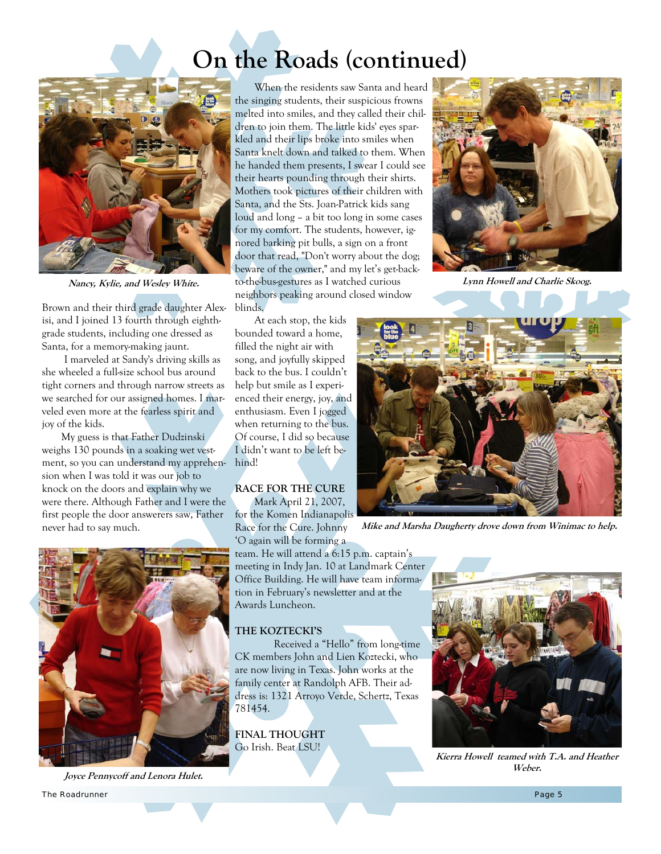# **On the Roads (continued)**



**Nancy, Kylie, and Wesley White.**

Brown and their third grade daughter Alexisi, and I joined 13 fourth through eighthgrade students, including one dressed as Santa, for a memory-making jaunt.

 I marveled at Sandy's driving skills as she wheeled a full-size school bus around tight corners and through narrow streets as we searched for our assigned homes. I marveled even more at the fearless spirit and joy of the kids.

My guess is that Father Dudzinski weighs 130 pounds in a soaking wet vestment, so you can understand my apprehension when I was told it was our job to knock on the doors and explain why we were there. Although Father and I were the first people the door answerers saw, Father never had to say much.



**Joyce Pennycoff and Lenora Hulet.**

When the residents saw Santa and heard the singing students, their suspicious frowns melted into smiles, and they called their children to join them. The little kids' eyes sparkled and their lips broke into smiles when Santa knelt down and talked to them. When he handed them presents, I swear I could see their hearts pounding through their shirts. Mothers took pictures of their children with Santa, and the Sts. Joan-Patrick kids sang loud and long – a bit too long in some cases for my comfort. The students, however, ignored barking pit bulls, a sign on a front door that read, "Don't worry about the dog; beware of the owner," and my let's get-backto-the-bus-gestures as I watched curious neighbors peaking around closed window blinds.



#### **RACE FOR THE CURE**  Mark April 21, 2007,

for the Komen Indianapolis Race for the Cure. Johnny

'O again will be forming a team. He will attend a 6:15 p.m. captain's meeting in Indy Jan. 10 at Landmark Center Office Building. He will have team information in February's newsletter and at the Awards Luncheon.

#### **THE KOZTECKI'S**

Received a "Hello" from long-time CK members John and Lien Koztecki, who are now living in Texas. John works at the family center at Randolph AFB. Their address is: 1321 Arroyo Verde, Schertz, Texas 781454.

**FINAL THOUGHT**  Go Irish. Beat LSU!



**Lynn Howell and Charlie Skoog.**



**Mike and Marsha Daugherty drove down from Winimac to help.**



**Kierra Howell teamed with T.A. and Heather Weber.**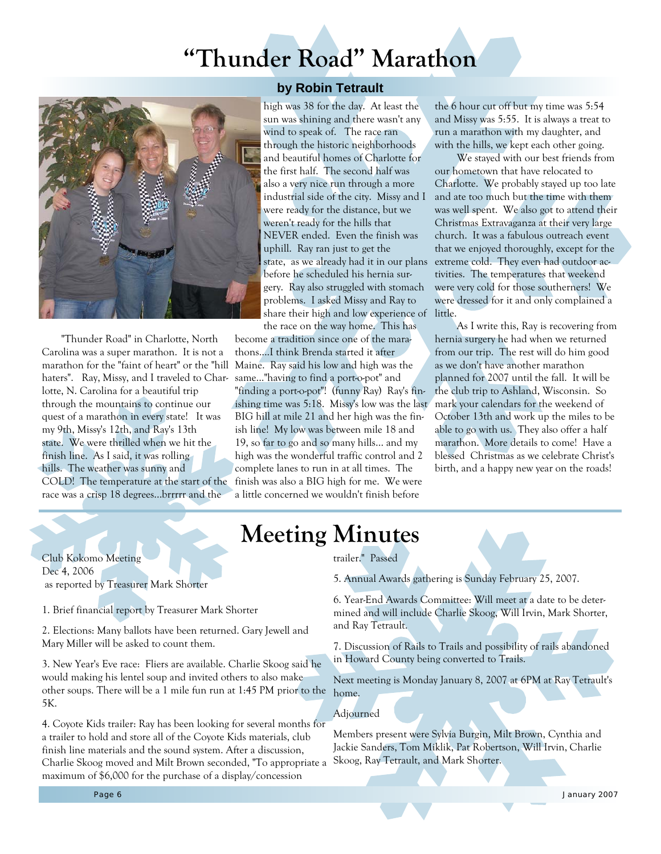# **"Thunder Road" Marathon**



"Thunder Road" in Charlotte, North Carolina was a super marathon. It is not a marathon for the "faint of heart" or the "hill haters". Ray, Missy, and I traveled to Charlotte, N. Carolina for a beautiful trip through the mountains to continue our quest of a marathon in every state! It was my 9th, Missy's 12th, and Ray's 13th state. We were thrilled when we hit the finish line. As I said, it was rolling hills. The weather was sunny and COLD! The temperature at the start of the race was a crisp 18 degrees...brrrrr and the

#### **by Robin Tetrault**

high was 38 for the day. At least the sun was shining and there wasn't any wind to speak of. The race ran through the historic neighborhoods and beautiful homes of Charlotte for the first half. The second half was also a very nice run through a more industrial side of the city. Missy and I were ready for the distance, but we weren't ready for the hills that NEVER ended. Even the finish was uphill. Ray ran just to get the state, as we already had it in our plans before he scheduled his hernia surgery. Ray also struggled with stomach problems. I asked Missy and Ray to share their high and low experience of the race on the way home. This has

become a tradition since one of the marathons....I think Brenda started it after Maine. Ray said his low and high was the same..."having to find a port-o-pot" and "finding a port-o-pot"! (funny Ray) Ray's finishing time was 5:18. Missy's low was the last BIG hill at mile 21 and her high was the finish line! My low was between mile 18 and 19, so far to go and so many hills... and my high was the wonderful traffic control and 2 complete lanes to run in at all times. The finish was also a BIG high for me. We were a little concerned we wouldn't finish before

the 6 hour cut off but my time was 5:54 and Missy was 5:55. It is always a treat to run a marathon with my daughter, and with the hills, we kept each other going.

 We stayed with our best friends from our hometown that have relocated to Charlotte. We probably stayed up too late and ate too much but the time with them was well spent. We also got to attend their Christmas Extravaganza at their very large church. It was a fabulous outreach event that we enjoyed thoroughly, except for the extreme cold. They even had outdoor activities. The temperatures that weekend were very cold for those southerners! We were dressed for it and only complained a little.

 As I write this, Ray is recovering from hernia surgery he had when we returned from our trip. The rest will do him good as we don't have another marathon planned for 2007 until the fall. It will be the club trip to Ashland, Wisconsin. So mark your calendars for the weekend of October 13th and work up the miles to be able to go with us. They also offer a half marathon. More details to come! Have a blessed Christmas as we celebrate Christ's birth, and a happy new year on the roads!

## **Meeting Minutes**

Club Kokomo Meeting Dec 4, 2006 as reported by Treasurer Mark Shorter

1. Brief financial report by Treasurer Mark Shorter

2. Elections: Many ballots have been returned. Gary Jewell and Mary Miller will be asked to count them.

3. New Year's Eve race: Fliers are available. Charlie Skoog said he would making his lentel soup and invited others to also make other soups. There will be a 1 mile fun run at 1:45 PM prior to the 5K.

4. Coyote Kids trailer: Ray has been looking for several months for a trailer to hold and store all of the Coyote Kids materials, club finish line materials and the sound system. After a discussion, Charlie Skoog moved and Milt Brown seconded, "To appropriate a maximum of \$6,000 for the purchase of a display/concession

#### trailer." Passed

5. Annual Awards gathering is Sunday February 25, 2007.

6. Year-End Awards Committee: Will meet at a date to be determined and will include Charlie Skoog, Will Irvin, Mark Shorter, and Ray Tetrault.

7. Discussion of Rails to Trails and possibility of rails abandoned in Howard County being converted to Trails.

Next meeting is Monday January 8, 2007 at 6PM at Ray Tetrault's home.

#### Adjourned

Members present were Sylvia Burgin, Milt Brown, Cynthia and Jackie Sanders, Tom Miklik, Pat Robertson, Will Irvin, Charlie Skoog, Ray Tetrault, and Mark Shorter.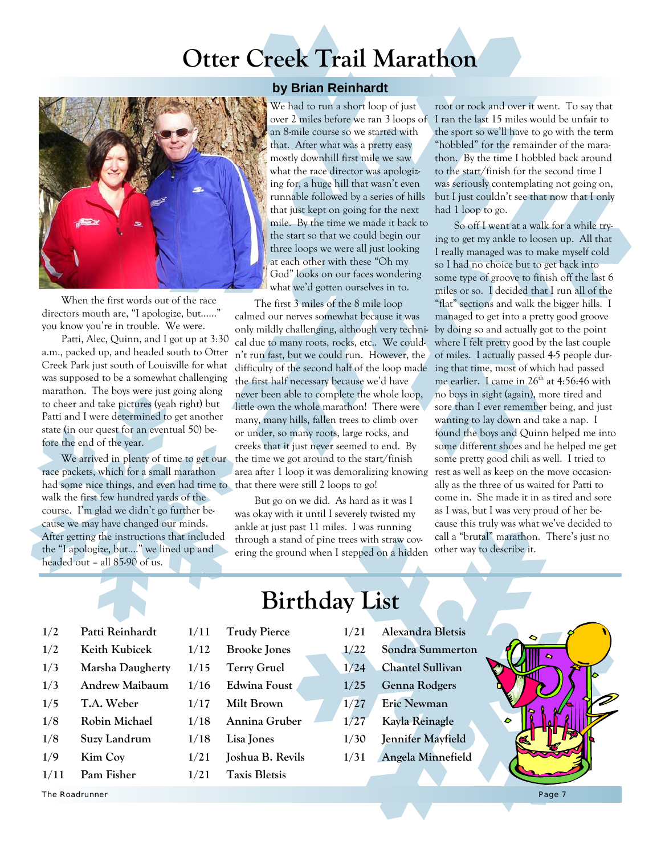# **Otter Creek Trail Marathon**



When the first words out of the race directors mouth are, "I apologize, but……" you know you're in trouble. We were.

Patti, Alec, Quinn, and I got up at 3:30 a.m., packed up, and headed south to Otter Creek Park just south of Louisville for what was supposed to be a somewhat challenging marathon. The boys were just going along to cheer and take pictures (yeah right) but Patti and I were determined to get another state (in our quest for an eventual 50) before the end of the year.

We arrived in plenty of time to get our race packets, which for a small marathon had some nice things, and even had time to walk the first few hundred yards of the course. I'm glad we didn't go further because we may have changed our minds. After getting the instructions that included the "I apologize, but…." we lined up and headed out – all 85-90 of us.

#### **by Brian Reinhardt**

We had to run a short loop of just over 2 miles before we ran 3 loops of an 8-mile course so we started with that. After what was a pretty easy mostly downhill first mile we saw what the race director was apologizing for, a huge hill that wasn't even runnable followed by a series of hills that just kept on going for the next mile. By the time we made it back to the start so that we could begin our three loops we were all just looking at each other with these "Oh my God" looks on our faces wondering what we'd gotten ourselves in to.

The first 3 miles of the 8 mile loop calmed our nerves somewhat because it was only mildly challenging, although very technical due to many roots, rocks, etc.. We couldn't run fast, but we could run. However, the difficulty of the second half of the loop made the first half necessary because we'd have never been able to complete the whole loop, little own the whole marathon! There were many, many hills, fallen trees to climb over or under, so many roots, large rocks, and creeks that it just never seemed to end. By the time we got around to the start/finish area after 1 loop it was demoralizing knowing rest as well as keep on the move occasionthat there were still 2 loops to go!

But go on we did. As hard as it was I was okay with it until I severely twisted my ankle at just past 11 miles. I was running through a stand of pine trees with straw covering the ground when I stepped on a hidden

root or rock and over it went. To say that I ran the last 15 miles would be unfair to the sport so we'll have to go with the term "hobbled" for the remainder of the marathon. By the time I hobbled back around to the start/finish for the second time I was seriously contemplating not going on, but I just couldn't see that now that I only had 1 loop to go.

So off I went at a walk for a while trying to get my ankle to loosen up. All that I really managed was to make myself cold so I had no choice but to get back into some type of groove to finish off the last 6 miles or so. I decided that I run all of the "flat" sections and walk the bigger hills. I managed to get into a pretty good groove by doing so and actually got to the point where I felt pretty good by the last couple of miles. I actually passed 4-5 people during that time, most of which had passed me earlier. I came in  $26<sup>th</sup>$  at 4:56:46 with no boys in sight (again), more tired and sore than I ever remember being, and just wanting to lay down and take a nap. I found the boys and Quinn helped me into some different shoes and he helped me get some pretty good chili as well. I tried to ally as the three of us waited for Patti to come in. She made it in as tired and sore as I was, but I was very proud of her because this truly was what we've decided to call a "brutal" marathon. There's just no other way to describe it.

| 1/2 | Patti Reinhardt |
|-----|-----------------|
| 1/2 | Keith Kubicek   |

- **1/3 Marsha Daugherty**
- **1/3 Andrew Maibaum**
- **1/5 T.A. Weber**
- **1/8 Robin Michael**
- **1/8 Suzy Landrum**
- **1/9 Kim Coy**
- 

The Roadrunner

**1/11 Pam Fisher** 

# **Birthday List**

- **1/11 Trudy Pierce**
- **1/12 Brooke Jones**
- **1/15 Terry Gruel**
- **1/16 Edwina Foust 1/17 Milt Brown**
- **1/18 Annina Gruber**
- **1/18 Lisa Jones**
- **1/21 Joshua B. Revils**
- **1/21 Taxis Bletsis**
- **1/21 Alexandra Bletsis**
- **1/22 Sondra Summerton**
- **1/24 Chantel Sullivan**
- **1/25 Genna Rodgers**
- **1/27 Eric Newman**
- **1/27 Kayla Reinagle**
- **1/30 Jennifer Mayfield**
- **1/31 Angela Minnefield**

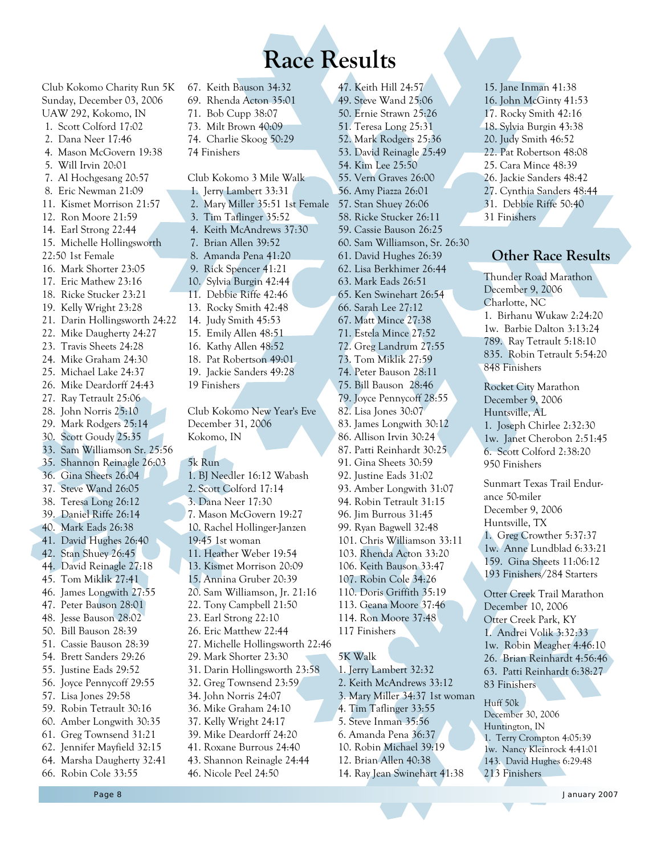**Race Results** 

Club Kokomo Charity Run 5K Sunday, December 03, 2006 UAW 292, Kokomo, IN 1. Scott Colford 17:02 2. Dana Neer 17:46 4. Mason McGovern 19:38 5. Will Irvin 20:01 7. Al Hochgesang 20:57 8. Eric Newman 21:09 11. Kismet Morrison 21:57 12. Ron Moore 21:59 14. Earl Strong 22:44 15. Michelle Hollingsworth 22:50 1st Female 16. Mark Shorter 23:05 17. Eric Mathew 23:16 18. Ricke Stucker 23:21 19. Kelly Wright 23:28 21. Darin Hollingsworth 24:22 22. Mike Daugherty 24:27 23. Travis Sheets 24:28 24. Mike Graham 24:30 25. Michael Lake 24:37 26. Mike Deardorff 24:43 27. Ray Tetrault 25:06 28. John Norris 25:10 29. Mark Rodgers 25:14 30. Scott Goudy 25:35 33. Sam Williamson Sr. 25:56 35. Shannon Reinagle 26:03 36. Gina Sheets 26:04 37. Steve Wand 26:05 38. Teresa Long 26:12 39. Daniel Riffe 26:14 40. Mark Eads 26:38 41. David Hughes 26:40 42. Stan Shuey 26:45 44. David Reinagle 27:18 45. Tom Miklik 27:41 46. James Longwith 27:55 47. Peter Bauson 28:01 48. Jesse Bauson 28:02 50. Bill Bauson 28:39 51. Cassie Bauson 28:39 54. Brett Sanders 29:26 55. Justine Eads 29:52 56. Joyce Pennycoff 29:55 57. Lisa Jones 29:58 59. Robin Tetrault 30:16 60. Amber Longwith 30:35 61. Greg Townsend 31:21 62. Jennifer Mayfield 32:15 64. Marsha Daugherty 32:41 66. Robin Cole 33:55

73. Milt Brown 40:09 74. Charlie Skoog 50:29 74 Finishers Club Kokomo 3 Mile Walk 1. Jerry Lambert 33:31 2. Mary Miller 35:51 1st Female 3. Tim Taflinger 35:52 4. Keith McAndrews 37:30 7. Brian Allen 39:52 8. Amanda Pena 41:20 9. Rick Spencer 41:21 10. Sylvia Burgin 42:44 11. Debbie Riffe 42:46 13. Rocky Smith 42:48 14. Judy Smith 45:53 15. Emily Allen 48:51 16. Kathy Allen 48:52 18. Pat Robertson 49:01 19. Jackie Sanders 49:28 19 Finishers Club Kokomo New Year's Eve December 31, 2006 Kokomo, IN 5k Run 1. BJ Needler 16:12 Wabash 2. Scott Colford 17:14 3. Dana Neer 17:30 7. Mason McGovern 19:27 10. Rachel Hollinger-Janzen 19:45 1st woman 11. Heather Weber 19:54 13. Kismet Morrison 20:09 15. Annina Gruber 20:39 20. Sam Williamson, Jr. 21:16 22. Tony Campbell 21:50 23. Earl Strong 22:10 26. Eric Matthew 22:44 27. Michelle Hollingsworth 22:46 29. Mark Shorter 23:30 31. Darin Hollingsworth 23:58 32. Greg Townsend 23:59 34. John Norris 24:07 36. Mike Graham 24:10 37. Kelly Wright 24:17 39. Mike Deardorff 24:20 41. Roxane Burrous 24:40 43. Shannon Reinagle 24:44 46. Nicole Peel 24:50

67. Keith Bauson 34:32 69. Rhenda Acton 35:01 71. Bob Cupp 38:07

47. Keith Hill 24:57 49. Steve Wand 25:06 50. Ernie Strawn 25:26 51. Teresa Long 25:31 52. Mark Rodgers 25:36 53. David Reinagle 25:49 54. Kim Lee 25:50 55. Vern Graves 26:00 56. Amy Piazza 26:01 57. Stan Shuey 26:06 58. Ricke Stucker 26:11 59. Cassie Bauson 26:25 60. Sam Williamson, Sr. 26:30 61. David Hughes 26:39 62. Lisa Berkhimer 26:44 63. Mark Eads 26:51 65. Ken Swinehart 26:54 66. Sarah Lee 27:12 67. Matt Mince 27:38 71. Estela Mince 27:52 72. Greg Landrum 27:55 73. Tom Miklik 27:59 74. Peter Bauson 28:11 75. Bill Bauson 28:46 79. Joyce Pennycoff 28:55 82. Lisa Jones 30:07 83. James Longwith 30:12 86. Allison Irvin 30:24 87. Patti Reinhardt 30:25 91. Gina Sheets 30:59 92. Justine Eads 31:02 93. Amber Longwith 31:07 94. Robin Tetrault 31:15 96. Jim Burrous 31:45 99. Ryan Bagwell 32:48 101. Chris Williamson 33:11 103. Rhenda Acton 33:20 106. Keith Bauson 33:47 107. Robin Cole 34:26 110. Doris Griffith 35:19 113. Geana Moore 37:46 114. Ron Moore 37:48 117 Finishers 5K Walk 1. Jerry Lambert 32:32 2. Keith McAndrews 33:12 3. Mary Miller 34:37 1st woman 4. Tim Taflinger 33:55 5. Steve Inman 35:56 6. Amanda Pena 36:37 10. Robin Michael 39:19 12. Brian Allen 40:38

14. Ray Jean Swinehart 41:38

15. Jane Inman 41:38 16. John McGinty 41:53 17. Rocky Smith 42:16 18. Sylvia Burgin 43:38 20. Judy Smith 46:52 22. Pat Robertson 48:08 25. Cara Mince 48:39 26. Jackie Sanders 48:42 27. Cynthia Sanders 48:44 31. Debbie Riffe 50:40 31 Finishers

#### **Other Race Results**

Thunder Road Marathon December 9, 2006 Charlotte, NC 1. Birhanu Wukaw 2:24:20 1w. Barbie Dalton 3:13:24 789. Ray Tetrault 5:18:10 835. Robin Tetrault 5:54:20 848 Finishers

Rocket City Marathon December 9, 2006 Huntsville, AL 1. Joseph Chirlee 2:32:30 1w. Janet Cherobon 2:51:45 6. Scott Colford 2:38:20 950 Finishers

Sunmart Texas Trail Endurance 50-miler December 9, 2006 Huntsville, TX 1. Greg Crowther 5:37:37 1w. Anne Lundblad 6:33:21 159. Gina Sheets 11:06:12 193 Finishers/284 Starters

Otter Creek Trail Marathon December 10, 2006 Otter Creek Park, KY 1. Andrei Volik 3:32:33 1w. Robin Meagher 4:46:10 26. Brian Reinhardt 4:56:46 63. Patti Reinhardt 6:38:27 83 Finishers

Huff 50k December 30, 2006 Huntington, IN 1. Terry Crompton 4:05:39 1w. Nancy Kleinrock 4:41:01 143. David Hughes 6:29:48 213 Finishers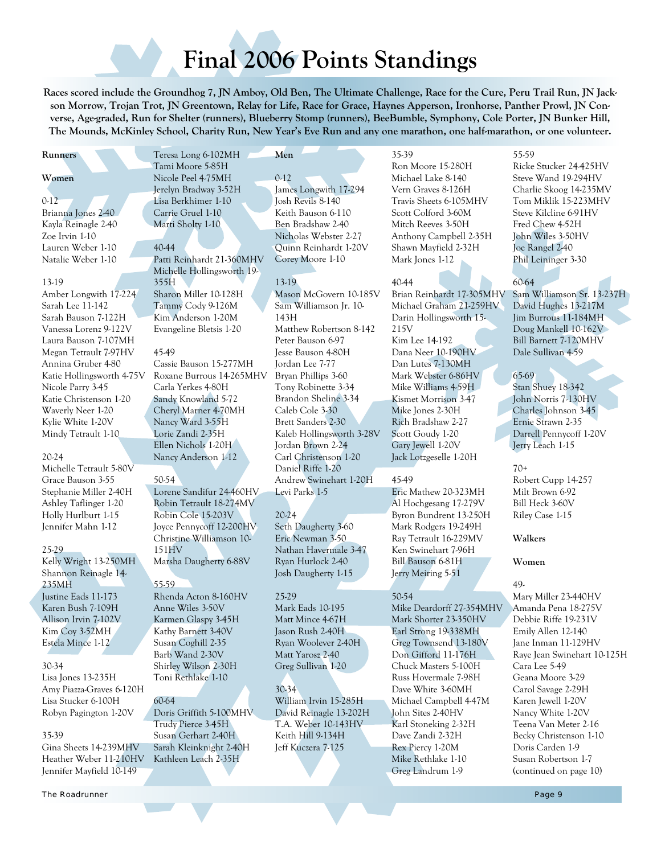# **Final 2006 Points Standings**

**Races scored include the Groundhog 7, JN Amboy, Old Ben, The Ultimate Challenge, Race for the Cure, Peru Trail Run, JN Jackson Morrow, Trojan Trot, JN Greentown, Relay for Life, Race for Grace, Haynes Apperson, Ironhorse, Panther Prowl, JN Converse, Age-graded, Run for Shelter (runners), Blueberry Stomp (runners), BeeBumble, Symphony, Cole Porter, JN Bunker Hill, The Mounds, McKinley School, Charity Run, New Year's Eve Run and any one marathon, one half-marathon, or one volunteer.** 

#### **Runners**

#### **Women**

 $0-12$ Brianna Jones 2-40 Kayla Reinagle 2-40 Zoe Irvin 1-10 Lauren Weber 1-10 Natalie Weber 1-10

#### 13-19

Amber Longwith 17-224 Sarah Lee 11-142 Sarah Bauson 7-122H Vanessa Lorenz 9-122V Laura Bauson 7-107MH Megan Tetrault 7-97HV Annina Gruber 4-80 Katie Hollingsworth 4-75V Nicole Parry 3-45 Katie Christenson 1-20 Waverly Neer 1-20 Kylie White 1-20V Mindy Tetrault 1-10

#### 20-24

Michelle Tetrault 5-80V Grace Bauson 3-55 Stephanie Miller 2-40H Ashley Taflinger 1-20 Holly Hurlburt 1-15 Jennifer Mahn 1-12

#### 25-29

Kelly Wright 13-250MH Shannon Reinagle 14- 235MH Justine Eads 11-173 Karen Bush 7-109H Allison Irvin 7-102V Kim Coy 3-52MH Estela Mince 1-12

#### 30-34

Lisa Jones 13-235H Amy Piazza-Graves 6-120H Lisa Stucker 6-100H Robyn Pagington 1-20V

#### 35-39

Gina Sheets 14-239MHV Heather Weber 11-210HV Jennifer Mayfield 10-149

Teresa Long 6-102MH Tami Moore 5-85H Nicole Peel 4-75MH Jerelyn Bradway 3-52H Lisa Berkhimer 1-10 Carrie Gruel 1-10 Marti Sholty 1-10

40-44 Patti Reinhardt 21-360MHV Michelle Hollingsworth 19- 355H Sharon Miller 10-128H Tammy Cody 9-126M Kim Anderson 1-20M

Evangeline Bletsis 1-20

#### 45-49

Cassie Bauson 15-277MH Roxane Burrous 14-265MHV Carla Yerkes 4-80H Sandy Knowland 5-72 Cheryl Marner 4-70MH Nancy Ward 3-55H Lorie Zandi 2-35H Ellen Nichols 1-20H Nancy Anderson 1-12

#### 50-54

Lorene Sandifur 24-460HV Robin Tetrault 18-274MV Robin Cole 15-203V Joyce Pennycoff 12-200HV Christine Williamson 10- 151HV Marsha Daugherty 6-88V

#### 55-59

Rhenda Acton 8-160HV Anne Wiles 3-50V Karmen Glaspy 3-45H Kathy Barnett 3-40V Susan Coghill 2-35 Barb Wand 2-30V Shirley Wilson 2-30H Toni Rethlake 1-10

#### 60-64

Doris Griffith 5-100MHV Trudy Pierce 3-45H Susan Gerhart 2-40H Sarah Kleinknight 2-40H Kathleen Leach 2-35H

#### 0-12 James Longwith 17-294 Josh Revils 8-140 Keith Bauson 6-110 Ben Bradshaw 2-40 Nicholas Webster 2-27 Quinn Reinhardt 1-20V Corey Moore 1-10

#### 13-19

**Men** 

Mason McGovern 10-185V Sam Williamson Jr. 10- 143H Matthew Robertson 8-142 Peter Bauson 6-97 Jesse Bauson 4-80H Jordan Lee 7-77 Bryan Phillips 3-60 Tony Robinette 3-34 Brandon Sheline 3-34 Caleb Cole 3-30 Brett Sanders 2-30 Kaleb Hollingsworth 3-28V Jordan Brown 2-24 Carl Christenson 1-20 Daniel Riffe 1-20 Andrew Swinehart 1-20H Levi Parks 1-5

#### 20-24

Seth Daugherty 3-60 Eric Newman 3-50 Nathan Havermale 3-47 Ryan Hurlock 2-40 Josh Daugherty 1-15

#### 25-29

Mark Eads 10-195 Matt Mince 4-67H Jason Rush 2-40H Ryan Woolever 2-40H Matt Yarosz 2-40 Greg Sullivan 1-20

#### 30-34

William Irvin 15-285H David Reinagle 13-202H T.A. Weber 10-143HV Keith Hill 9-134H Jeff Kuczera 7-125

Ron Moore 15-280H Michael Lake 8-140 Vern Graves 8-126H Travis Sheets 6-105MHV Scott Colford 3-60M Mitch Reeves 3-50H Anthony Campbell 2-35H Shawn Mayfield 2-32H Mark Jones 1-12

#### 40-44

35-39

Brian Reinhardt 17-305MHV Michael Graham 21-259HV Darin Hollingsworth 15- 215V Kim Lee 14-192 Dana Neer 10-190HV Dan Lutes 7-130MH Mark Webster 6-86HV Mike Williams 4-59H Kismet Morrison 3-47 Mike Jones 2-30H Rich Bradshaw 2-27 Scott Goudy 1-20 Gary Jewell 1-20V Jack Lotzgeselle 1-20H

#### 45-49

Eric Mathew 20-323MH Al Hochgesang 17-279V Byron Bundrent 13-250H Mark Rodgers 19-249H Ray Tetrault 16-229MV Ken Swinehart 7-96H Bill Bauson 6-81H Jerry Meiring 5-51

#### 50-54

Mike Deardorff 27-354MHV Mark Shorter 23-350HV Earl Strong 19-338MH Greg Townsend 13-180V Don Gifford 11-176H Chuck Masters 5-100H Russ Hovermale 7-98H Dave White 3-60MH Michael Campbell 4-47M John Sites 2-40HV Karl Stoneking 2-32H Dave Zandi 2-32H Rex Piercy 1-20M Mike Rethlake 1-10 Greg Landrum 1-9

#### 55-59

Ricke Stucker 24-425HV Steve Wand 19-294HV Charlie Skoog 14-235MV Tom Miklik 15-223MHV Steve Kilcline 6-91HV Fred Chew 4-52H John Wiles 3-50HV Joe Rangel 2-40 Phil Leininger 3-30

#### 60-64

Sam Williamson Sr. 13-237H David Hughes 13-217M Jim Burrous 11-184MH Doug Mankell 10-162V Bill Barnett 7-120MHV Dale Sullivan 4-59

#### 65-69

Stan Shuey 18-342 John Norris 7-130HV Charles Johnson 3-45 Ernie Strawn 2-35 Darrell Pennycoff 1-20V Jerry Leach 1-15

#### 70+

Robert Cupp 14-257 Milt Brown 6-92 Bill Heck 3-60V Riley Case 1-15

#### **Walkers**

#### **Women**

49-

Mary Miller 23-440HV Amanda Pena 18-275V Debbie Riffe 19-231V Emily Allen 12-140 Jane Inman 11-129HV Raye Jean Swinehart 10-125H Cara Lee 5-49 Geana Moore 3-29 Carol Savage 2-29H Karen Jewell 1-20V Nancy White 1-20V Teena Van Meter 2-16 Becky Christenson 1-10 Doris Carden 1-9 Susan Robertson 1-7 (continued on page 10)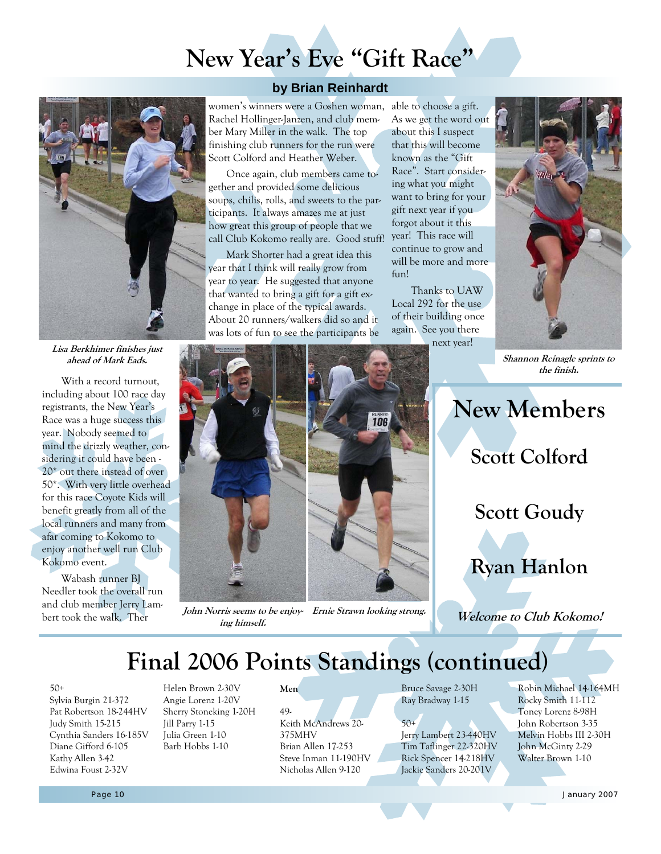# **New Year's Eve "Gift Race"**



**Lisa Berkhimer finishes just ahead of Mark Eads.**

With a record turnout, including about 100 race day registrants, the New Year's Race was a huge success this year. Nobody seemed to mind the drizzly weather, considering it could have been - 20\* out there instead of over 50\*. With very little overhead for this race Coyote Kids will benefit greatly from all of the local runners and many from afar coming to Kokomo to enjoy another well run Club Kokomo event.

Wabash runner BJ Needler took the overall run and club member Jerry Lambert took the walk. Ther

women's winners were a Goshen woman, able to choose a gift. Rachel Hollinger-Janzen, and club member Mary Miller in the walk. The top **by Brian Reinhardt** 

Scott Colford and Heather Weber. Once again, club members came together and provided some delicious soups, chilis, rolls, and sweets to the participants. It always amazes me at just how great this group of people that we call Club Kokomo really are. Good stuff!

finishing club runners for the run were

Mark Shorter had a great idea this year that I think will really grow from year to year. He suggested that anyone that wanted to bring a gift for a gift exchange in place of the typical awards. About 20 runners/walkers did so and it was lots of fun to see the participants be

As we get the word out about this I suspect that this will become known as the "Gift Race". Start considering what you might want to bring for your gift next year if you forgot about it this year! This race will continue to grow and will be more and more fun!

Thanks to UAW Local 292 for the use of their building once again. See you there next year!



**Shannon Reinagle sprints to the finish.**



John Norris seems to be enjoy- Ernie Strawn looking strong. **ing himself.**

**New Members Scott Colford Scott Goudy Ryan Hanlon** 

**Welcome to Club Kokomo!** 

## **Final 2006 Points Standings (continued)**

#### 50+

Sylvia Burgin 21-372 Pat Robertson 18-244HV Judy Smith 15-215 Cynthia Sanders 16-185V Diane Gifford 6-105 Kathy Allen 3-42 Edwina Foust 2-32V

Helen Brown 2-30V Angie Lorenz 1-20V Sherry Stoneking 1-20H Jill Parry 1-15 Julia Green 1-10 Barb Hobbs 1-10

**Men** 

49- Keith McAndrews 20- 375MHV Brian Allen 17-253 Steve Inman 11-190HV Nicholas Allen 9-120

Bruce Savage 2-30H Ray Bradway 1-15

#### $50+$ Jerry Lambert 23-440HV Tim Taflinger 22-320HV Rick Spencer 14-218HV Jackie Sanders 20-201V

Robin Michael 14-164MH Rocky Smith 11-112 Toney Lorenz 8-98H John Robertson 3-35 Melvin Hobbs III 2-30H John McGinty 2-29 Walter Brown 1-10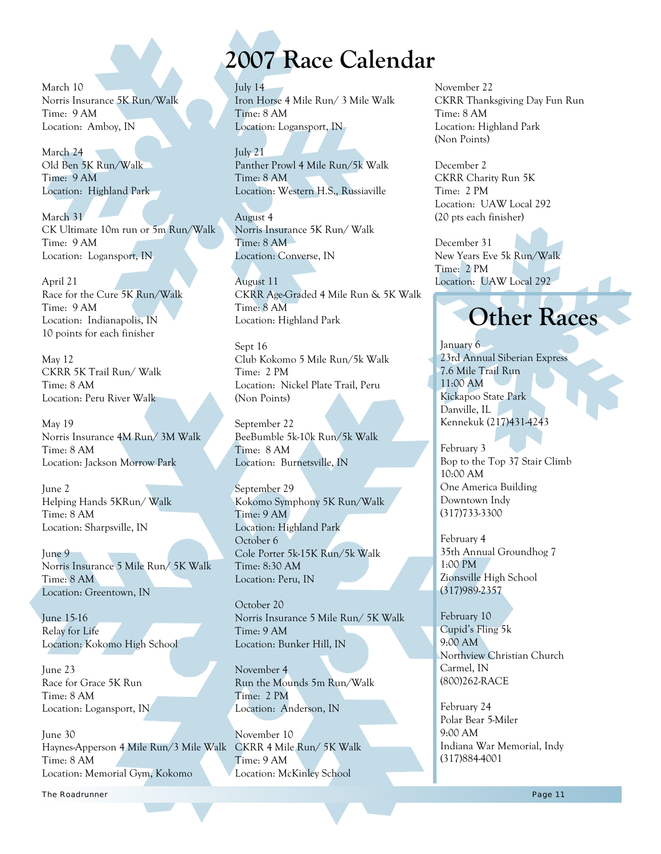March 10 Norris Insurance 5K Run/Walk Time: 9 AM Location: Amboy, IN

March 24 Old Ben 5K Run/Walk Time: 9 AM Location: Highland Park

March 31 CK Ultimate 10m run or 5m Run/Walk Time: 9 AM Location: Logansport, IN

April 21 Race for the Cure 5K Run/Walk Time: 9 AM Location: Indianapolis, IN 10 points for each finisher

May 12 CKRR 5K Trail Run/ Walk Time: 8 AM Location: Peru River Walk

May 19 Norris Insurance 4M Run/ 3M Walk Time: 8 AM Location: Jackson Morrow Park

June 2 Helping Hands 5KRun/ Walk Time: 8 AM Location: Sharpsville, IN

June 9 Norris Insurance 5 Mile Run/ 5K Walk Time: 8 AM Location: Greentown, IN

June 15-16 Relay for Life Location: Kokomo High School

June 23 Race for Grace 5K Run Time: 8 AM Location: Logansport, IN

June 30 Haynes-Apperson 4 Mile Run/3 Mile Walk CKRR 4 Mile Run/ 5K Walk Time: 8 AM Location: Memorial Gym, Kokomo

# **2007 Race Calendar**

July 14 Iron Horse 4 Mile Run/ 3 Mile Walk Time: 8 AM Location: Logansport, IN

July 21 Panther Prowl 4 Mile Run/5k Walk Time: 8 AM Location: Western H.S., Russiaville

August 4 Norris Insurance 5K Run/ Walk Time: 8 AM Location: Converse, IN

August 11 CKRR Age-Graded 4 Mile Run & 5K Walk Time: 8 AM Location: Highland Park

Sept 16 Club Kokomo 5 Mile Run/5k Walk Time: 2 PM Location: Nickel Plate Trail, Peru (Non Points)

September 22 BeeBumble 5k-10k Run/5k Walk Time: 8 AM Location: Burnetsville, IN

September 29 Kokomo Symphony 5K Run/Walk Time: 9 AM Location: Highland Park October 6 Cole Porter 5k-15K Run/5k Walk Time: 8:30 AM Location: Peru, IN

October 20 Norris Insurance 5 Mile Run/ 5K Walk Time: 9 AM Location: Bunker Hill, IN

November 4 Run the Mounds 5m Run/Walk Time: 2 PM Location: Anderson, IN

November 10 Time: 9 AM Location: McKinley School November 22 CKRR Thanksgiving Day Fun Run Time: 8 AM Location: Highland Park (Non Points)

December 2 CKRR Charity Run 5K Time: 2 PM Location: UAW Local 292 (20 pts each finisher)

December 31 New Years Eve 5k Run/Walk Time: 2 PM Location: UAW Local 292

# **Other Races**

January 6 23rd Annual Siberian Express 7.6 Mile Trail Run 11:00 AM Kickapoo State Park Danville, IL Kennekuk (217)431-4243

February 3 Bop to the Top 37 Stair Climb 10:00 AM One America Building Downtown Indy (317)733-3300

February 4 35th Annual Groundhog 7 1:00 PM Zionsville High School (317)989-2357

February 10 Cupid's Fling 5k 9:00 AM Northview Christian Church Carmel, IN (800)262-RACE

February 24 Polar Bear 5-Miler 9:00 AM Indiana War Memorial, Indy (317)884-4001

of the Roadrunner Page 11 and the Contract of the Contract of the Contract of the Contract of the Page 11 and the Page 11 and the Page 11 and the Page 11 and the Page 11 and the Page 11 and the Page 11 and the Page 11 and